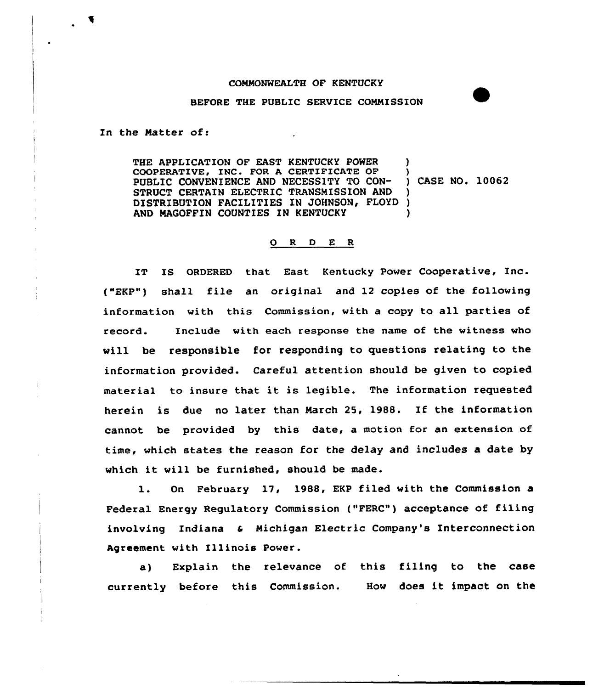## COMMONWEALTH OF KENTUCKY

## BEFORE THE PUBLIC SERVICE COMMISSION

In the Hatter of:

THE APPLICATION OF EAST KENTUCKY POWER COOPERATIVE, INC. FOR A CERTIFICATE OF PUBLIC CONVENIENCE AND NECESSITY TO CON-STRUCT CERTAIN ELECTRIC TRANSMISSION AND DISTRIBUTION FACXLITIES IN JOHNSON, FLOYD AND MAGOFFIN COUNTIES IN KENTUCKY )<br>) CASE NO. 10062 ) ) )

## 0 <sup>R</sup> <sup>D</sup> E <sup>R</sup>

IT IS ORDERED that East Kentucky Power Cooperative, Inc. f"EKP") shall file an original and 12 copies of the following information with this Commission, with a copy to all parties of record. Include with each response the name of the witness who will be responsible for responding to questions relating to the information provided. Careful attention should be given to copied material to insure that it is legible. The information requested herein is due no later than March 25, 1988. If the information cannot be provided by this date, a motion for an extension of time, which states the reason for the delay and includes a date by which it will be furnished, should be made.

l. On February 17, 1988, EKP filed with the Commission <sup>a</sup> Federal Energy Regulatory Commission ("FERC") acceptance of filing involving Indiana & Michigan Electric Company's Interconnection Agreement with Illinois Power.

a) Explain the relevance of this filing to the case currently before this Commission. How does it impact on the